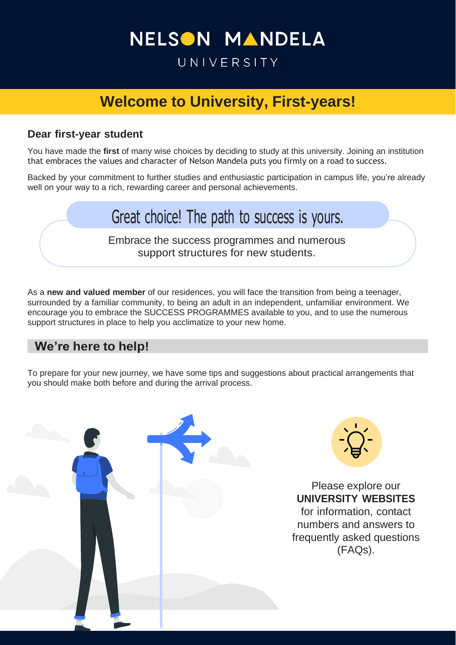## NELSON MANDELA

### UNIVERSITY

### **Welcome to University, First-years!**

### **Dear first-year student**

You have made the **first** of many wise choices by deciding to study at this university. Joining an institution that embraces the values and character of Nelson Mandela puts you firmly on a road to success.

Backed by your commitment to further studies and enthusiastic participation in campus life, you're already well on your way to a rich, rewarding career and personal achievements.

## Great choice! The path to success is yours.

Embrace the success programmes and numerous support structures for new students.

As a **new and valued member** of our residences, you will face the transition from being a teenager, surrounded by a familiar community, to being an adult in an independent, unfamiliar environment. We encourage you to embrace the SUCCESS PROGRAMMES available to you, and to use the numerous support structures in place to help you acclimatize to your new home.

### **We're here to help!**

To prepare for your new journey, we have some tips and suggestions about practical arrangements that you should make both before and during the arrival process.

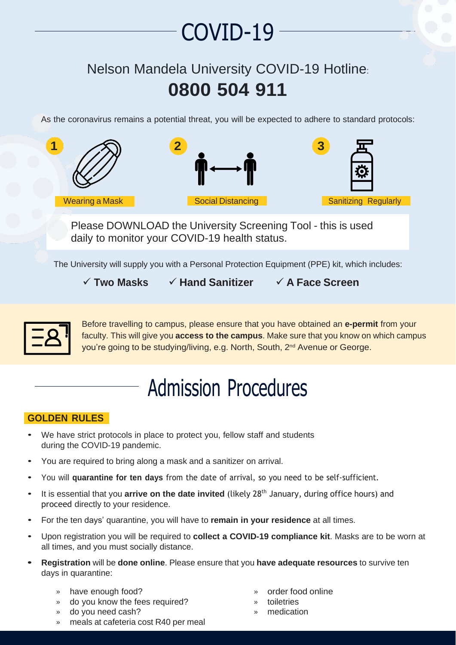# COVID-19

### Nelson Mandela University COVID-19 Hotline: **0800 504 911**

As the coronavirus remains a potential threat, you will be expected to adhere to standard protocols:



Please DOWNLOAD the University Screening Tool - this is used daily to monitor your COVID-19 health status.

The University will supply you with a Personal Protection Equipment (PPE) kit, which includes:

✓ **Two Masks** ✓ **Hand Sanitizer** ✓ **A Face Screen**



Before travelling to campus, please ensure that you have obtained an **e-permit** from your faculty. This will give you **access to the campus**. Make sure that you know on which campus you're going to be studying/living, e.g. North, South, 2<sup>nd</sup> Avenue or George.

# Admission Procedures

### **GOLDEN RULES**

- We have strict protocols in place to protect you, fellow staff and students during the COVID-19 pandemic.
- You are required to bring along a mask and a sanitizer on arrival.
- You will **quarantine for ten days** from the date of arrival, so you need to be self-sufficient.
- It is essential that you **arrive on the date invited** (likely 28th January, during office hours) and proceed directly to your residence.
- For the ten days' quarantine, you will have to **remain in your residence** at all times.
- Upon registration you will be required to **collect a COVID-19 compliance kit**. Masks are to be worn at all times, and you must socially distance.
- **• Registration** will be **done online**. Please ensure that you **have adequate resources** to survive ten days in quarantine:
	- » have enough food?
	- » do you know the fees required?
	- » do you need cash?
	- » meals at cafeteria cost R40 per meal
- » order food online
- toiletries
- » medication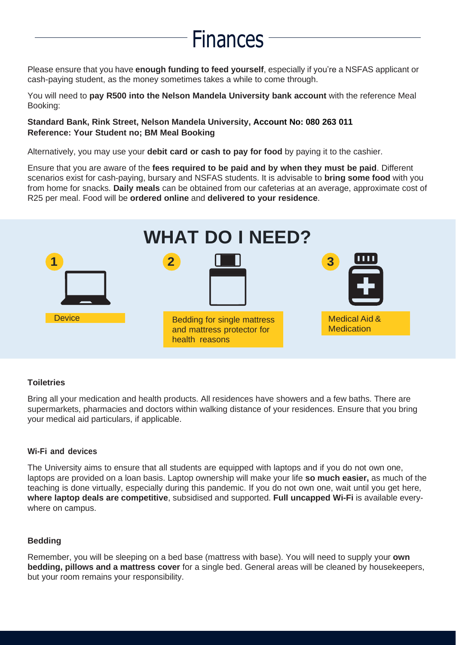## Finances

Please ensure that you have **enough funding to feed yourself**, especially if you're a NSFAS applicant or cash-paying student, as the money sometimes takes a while to come through.

You will need to **pay R500 into the Nelson Mandela University bank account** with the reference Meal Booking:

#### **Standard Bank, Rink Street, Nelson Mandela University, Account No: 080 263 011 Reference: Your Student no; BM Meal Booking**

Alternatively, you may use your **debit card or cash to pay for food** by paying it to the cashier.

Ensure that you are aware of the **fees required to be paid and by when they must be paid**. Different scenarios exist for cash-paying, bursary and NSFAS students. It is advisable to **bring some food** with you from home for snacks. **Daily meals** can be obtained from our cafeterias at an average, approximate cost of R25 per meal. Food will be **ordered online** and **delivered to your residence**.



#### **Toiletries**

Bring all your medication and health products. All residences have showers and a few baths. There are supermarkets, pharmacies and doctors within walking distance of your residences. Ensure that you bring your medical aid particulars, if applicable.

#### **Wi-Fi and devices**

The University aims to ensure that all students are equipped with laptops and if you do not own one, laptops are provided on a loan basis. Laptop ownership will make your life **so much easier,** as much of the teaching is done virtually, especially during this pandemic. If you do not own one, wait until you get here, **where laptop deals are competitive**, subsidised and supported. **Full uncapped Wi-Fi** is available everywhere on campus.

#### **Bedding**

Remember, you will be sleeping on a bed base (mattress with base). You will need to supply your **own bedding, pillows and a mattress cover** for a single bed. General areas will be cleaned by housekeepers, but your room remains your responsibility.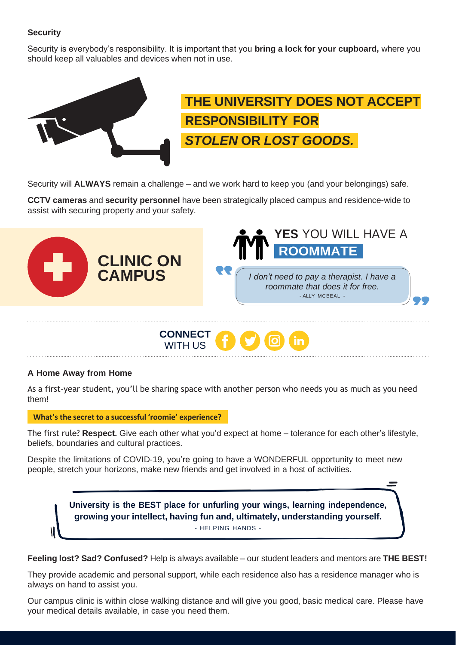### **Security**

Security is everybody's responsibility. It is important that you **bring a lock for your cupboard,** where you should keep all valuables and devices when not in use.



## **THE UNIVERSITY DOES NOT ACCEPT RESPONSIBILITY FOR** *STOLEN* **OR** *LOST GOODS.*

Security will **ALWAYS** remain a challenge – and we work hard to keep you (and your belongings) safe.

**CCTV cameras** and **security personnel** have been strategically placed campus and residence-wide to assist with securing property and your safety.





#### **A Home Away from Home**

As a first-year student, you'll be sharing space with another person who needs you as much as you need them!

**What's the secret to a successful 'roomie' experience?**

The first rule? **Respect.** Give each other what you'd expect at home – tolerance for each other's lifestyle, beliefs, boundaries and cultural practices.

Despite the limitations of COVID-19, you're going to have a WONDERFUL opportunity to meet new people, stretch your horizons, make new friends and get involved in a host of activities.



**Feeling lost? Sad? Confused?** Help is always available – our student leaders and mentors are **THE BEST!**

They provide academic and personal support, while each residence also has a residence manager who is always on hand to assist you.

Our campus clinic is within close walking distance and will give you good, basic medical care. Please have your medical details available, in case you need them.